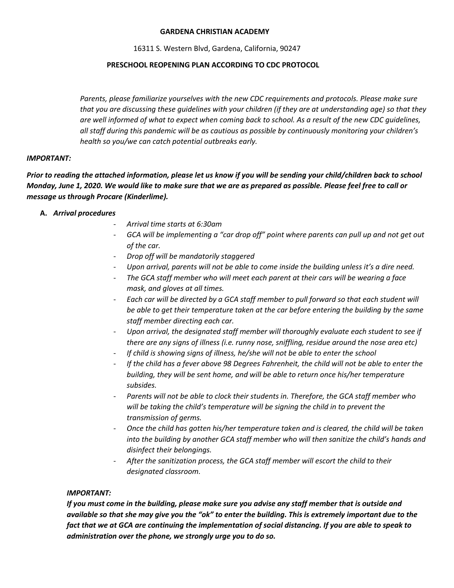#### **GARDENA CHRISTIAN ACADEMY**

16311 S. Western Blvd, Gardena, California, 90247

## **PRESCHOOL REOPENING PLAN ACCORDING TO CDC PROTOCOL**

*Parents, please familiarize yourselves with the new CDC requirements and protocols. Please make sure that you are discussing these guidelines with your children (if they are at understanding age) so that they are well informed of what to expect when coming back to school. As a result of the new CDC guidelines, all staff during this pandemic will be as cautious as possible by continuously monitoring your children's health so you/we can catch potential outbreaks early.*

### *IMPORTANT:*

*Prior to reading the attached information, please let us know if you will be sending your child/children back to school Monday, June 1, 2020. We would like to make sure that we are as prepared as possible. Please feel free to call or message us through Procare (Kinderlime).*

## **A.** *Arrival procedures*

- *Arrival time starts at 6:30am*
- *GCA will be implementing a "car drop off" point where parents can pull up and not get out of the car.*
- *Drop off will be mandatorily staggered*
- *Upon arrival, parents will not be able to come inside the building unless it's a dire need.*
- *The GCA staff member who will meet each parent at their cars will be wearing a face mask, and gloves at all times.*
- *Each car will be directed by a GCA staff member to pull forward so that each student will be able to get their temperature taken at the car before entering the building by the same staff member directing each car.*
- *Upon arrival, the designated staff member will thoroughly evaluate each student to see if there are any signs of illness (i.e. runny nose, sniffling, residue around the nose area etc)*
- *If child is showing signs of illness, he/she will not be able to enter the school*
- *If the child has a fever above 98 Degrees Fahrenheit, the child will not be able to enter the building, they will be sent home, and will be able to return once his/her temperature subsides.*
- Parents will not be able to clock their students in. Therefore, the GCA staff member who *will be taking the child's temperature will be signing the child in to prevent the transmission of germs.*
- *Once the child has gotten his/her temperature taken and is cleared, the child will be taken into the building by another GCA staff member who will then sanitize the child's hands and disinfect their belongings.*
- *After the sanitization process, the GCA staff member will escort the child to their designated classroom.*

# *IMPORTANT:*

*If you must come in the building, please make sure you advise any staff member that is outside and available so that she may give you the "ok" to enter the building. This is extremely important due to the fact that we at GCA are continuing the implementation of social distancing. If you are able to speak to administration over the phone, we strongly urge you to do so.*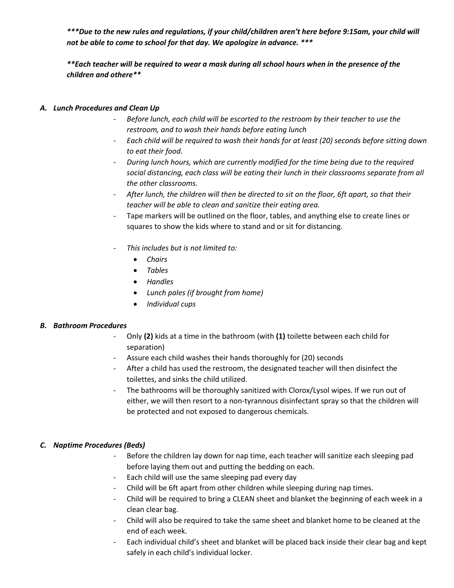*\*\*\*Due to the new rules and regulations, if your child/children aren't here before 9:15am, your child will not be able to come to school for that day. We apologize in advance. \*\*\**

*\*\*Each teacher will be required to wear a mask during all school hours when in the presence of the children and othere\*\**

# *A. Lunch Procedures and Clean Up*

- *Before lunch, each child will be escorted to the restroom by their teacher to use the restroom, and to wash their hands before eating lunch*
- *Each child will be required to wash their hands for at least (20) seconds before sitting down to eat their food.*
- *During lunch hours, which are currently modified for the time being due to the required social distancing, each class will be eating their lunch in their classrooms separate from all the other classrooms.*
- *After lunch, the children will then be directed to sit on the floor, 6ft apart, so that their teacher will be able to clean and sanitize their eating area.*
- Tape markers will be outlined on the floor, tables, and anything else to create lines or squares to show the kids where to stand and or sit for distancing.
- *This includes but is not limited to:*
	- *Chairs*
	- *Tables*
	- *Handles*
	- *Lunch pales (if brought from home)*
	- *Individual cups*

### *B. Bathroom Procedures*

- Only **(2)** kids at a time in the bathroom (with **(1)** toilette between each child for separation)
- Assure each child washes their hands thoroughly for (20) seconds
- After a child has used the restroom, the designated teacher will then disinfect the toilettes, and sinks the child utilized.
- The bathrooms will be thoroughly sanitized with Clorox/Lysol wipes. If we run out of either, we will then resort to a non-tyrannous disinfectant spray so that the children will be protected and not exposed to dangerous chemicals.

# *C. Naptime Procedures (Beds)*

- Before the children lay down for nap time, each teacher will sanitize each sleeping pad before laying them out and putting the bedding on each.
- Each child will use the same sleeping pad every day
- Child will be 6ft apart from other children while sleeping during nap times.
- Child will be required to bring a CLEAN sheet and blanket the beginning of each week in a clean clear bag.
- Child will also be required to take the same sheet and blanket home to be cleaned at the end of each week.
- Each individual child's sheet and blanket will be placed back inside their clear bag and kept safely in each child's individual locker.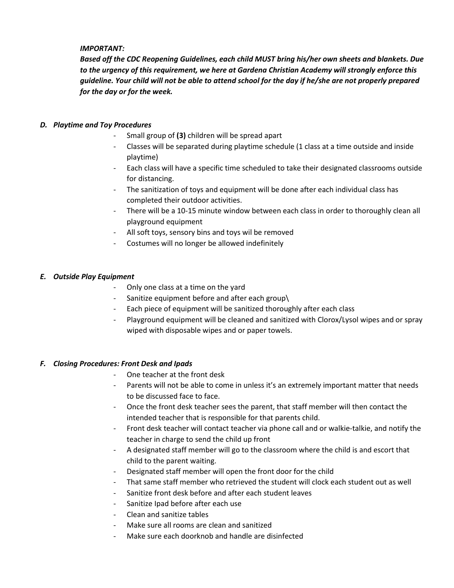## *IMPORTANT:*

*Based off the CDC Reopening Guidelines, each child MUST bring his/her own sheets and blankets. Due to the urgency of this requirement, we here at Gardena Christian Academy will strongly enforce this guideline. Your child will not be able to attend school for the day if he/she are not properly prepared for the day or for the week.*

### *D. Playtime and Toy Procedures*

- Small group of **(3)** children will be spread apart
- Classes will be separated during playtime schedule (1 class at a time outside and inside playtime)
- Each class will have a specific time scheduled to take their designated classrooms outside for distancing.
- The sanitization of toys and equipment will be done after each individual class has completed their outdoor activities.
- There will be a 10-15 minute window between each class in order to thoroughly clean all playground equipment
- All soft toys, sensory bins and toys wil be removed
- Costumes will no longer be allowed indefinitely

## *E. Outside Play Equipment*

- Only one class at a time on the yard
- Sanitize equipment before and after each group\
- Each piece of equipment will be sanitized thoroughly after each class
- Playground equipment will be cleaned and sanitized with Clorox/Lysol wipes and or spray wiped with disposable wipes and or paper towels.

### *F. Closing Procedures: Front Desk and Ipads*

- One teacher at the front desk
- Parents will not be able to come in unless it's an extremely important matter that needs to be discussed face to face.
- Once the front desk teacher sees the parent, that staff member will then contact the intended teacher that is responsible for that parents child.
- Front desk teacher will contact teacher via phone call and or walkie-talkie, and notify the teacher in charge to send the child up front
- A designated staff member will go to the classroom where the child is and escort that child to the parent waiting.
- Designated staff member will open the front door for the child
- That same staff member who retrieved the student will clock each student out as well
- Sanitize front desk before and after each student leaves
- Sanitize Ipad before after each use
- Clean and sanitize tables
- Make sure all rooms are clean and sanitized
- Make sure each doorknob and handle are disinfected